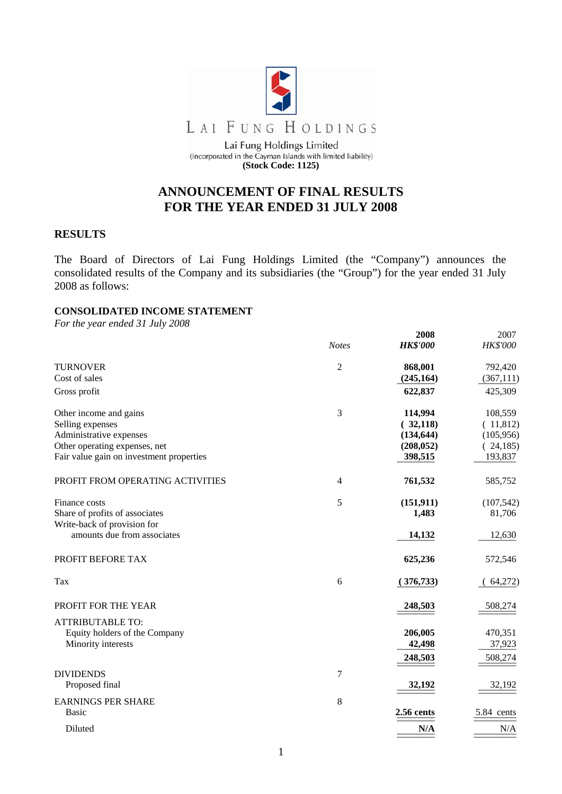

(Incorporated in the Cayman Islands with limited liability) **(Stock Code: 1125)** 

# **ANNOUNCEMENT OF FINAL RESULTS FOR THE YEAR ENDED 31 JULY 2008**

## **RESULTS**

The Board of Directors of Lai Fung Holdings Limited (the "Company") announces the consolidated results of the Company and its subsidiaries (the "Group") for the year ended 31 July 2008 as follows:

## **CONSOLIDATED INCOME STATEMENT**

*For the year ended 31 July 2008* 

|                                          |                | 2008            | 2007       |
|------------------------------------------|----------------|-----------------|------------|
|                                          | <b>Notes</b>   | <b>HK\$'000</b> | HK\$'000   |
| <b>TURNOVER</b>                          | $\sqrt{2}$     | 868,001         | 792,420    |
| Cost of sales                            |                | (245, 164)      | (367, 111) |
| Gross profit                             |                | 622,837         | 425,309    |
| Other income and gains                   | 3              | 114,994         | 108,559    |
| Selling expenses                         |                | (32,118)        | (11,812)   |
| Administrative expenses                  |                | (134, 644)      | (105, 956) |
| Other operating expenses, net            |                | (208, 052)      | (24,185)   |
| Fair value gain on investment properties |                | 398,515         | 193,837    |
| PROFIT FROM OPERATING ACTIVITIES         | $\overline{4}$ | 761,532         | 585,752    |
| Finance costs                            | 5              | (151, 911)      | (107, 542) |
| Share of profits of associates           |                | 1,483           | 81,706     |
| Write-back of provision for              |                |                 |            |
| amounts due from associates              |                | 14,132          | 12,630     |
| PROFIT BEFORE TAX                        |                | 625,236         | 572,546    |
| Tax                                      | 6              | (376, 733)      | 64,272)    |
| PROFIT FOR THE YEAR                      |                | 248,503         | 508,274    |
| <b>ATTRIBUTABLE TO:</b>                  |                |                 |            |
| Equity holders of the Company            |                | 206,005         | 470,351    |
| Minority interests                       |                | 42,498          | 37,923     |
|                                          |                | 248,503         | 508,274    |
| <b>DIVIDENDS</b>                         | $\overline{7}$ |                 |            |
| Proposed final                           |                | 32,192          | 32,192     |
| <b>EARNINGS PER SHARE</b>                | 8              |                 |            |
| <b>Basic</b>                             |                | 2.56 cents      | 5.84 cents |
| Diluted                                  |                | N/A             | N/A        |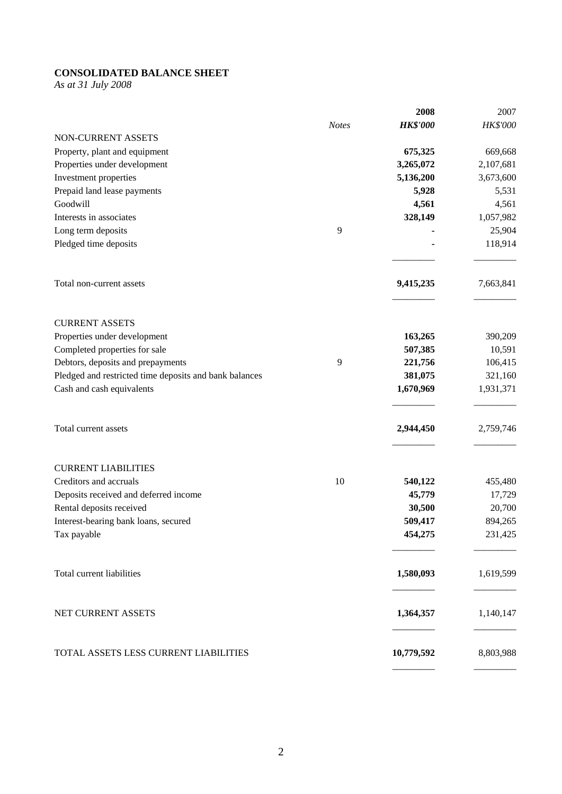# **CONSOLIDATED BALANCE SHEET**

*As at 31 July 2008* 

|                                                        |              | 2008            | 2007      |
|--------------------------------------------------------|--------------|-----------------|-----------|
|                                                        | <b>Notes</b> | <b>HK\$'000</b> | HK\$'000  |
| NON-CURRENT ASSETS                                     |              |                 |           |
| Property, plant and equipment                          |              | 675,325         | 669,668   |
| Properties under development                           |              | 3,265,072       | 2,107,681 |
| Investment properties                                  |              | 5,136,200       | 3,673,600 |
| Prepaid land lease payments                            |              | 5,928           | 5,531     |
| Goodwill                                               |              | 4,561           | 4,561     |
| Interests in associates                                |              | 328,149         | 1,057,982 |
| Long term deposits                                     | 9            |                 | 25,904    |
| Pledged time deposits                                  |              |                 | 118,914   |
| Total non-current assets                               |              | 9,415,235       | 7,663,841 |
| <b>CURRENT ASSETS</b>                                  |              |                 |           |
| Properties under development                           |              | 163,265         | 390,209   |
| Completed properties for sale                          |              | 507,385         | 10,591    |
| Debtors, deposits and prepayments                      | 9            | 221,756         | 106,415   |
| Pledged and restricted time deposits and bank balances |              | 381,075         | 321,160   |
| Cash and cash equivalents                              |              | 1,670,969       | 1,931,371 |
| Total current assets                                   |              | 2,944,450       | 2,759,746 |
| <b>CURRENT LIABILITIES</b>                             |              |                 |           |
| Creditors and accruals                                 | 10           | 540,122         | 455,480   |
| Deposits received and deferred income                  |              | 45,779          | 17,729    |
| Rental deposits received                               |              | 30,500          | 20,700    |
| Interest-bearing bank loans, secured                   |              | 509,417         | 894,265   |
| Tax payable                                            |              | 454,275         | 231,425   |
| <b>Total current liabilities</b>                       |              | 1,580,093       | 1,619,599 |
| NET CURRENT ASSETS                                     |              | 1,364,357       | 1,140,147 |
| TOTAL ASSETS LESS CURRENT LIABILITIES                  |              | 10,779,592      | 8,803,988 |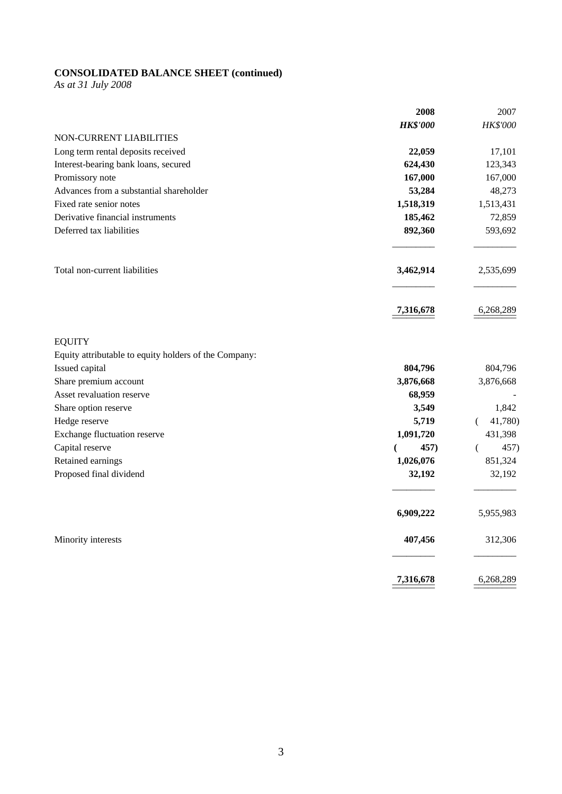#### **CONSOLIDATED BALANCE SHEET (continued)**

*As at 31 July 2008* 

|                                                       | 2008             | 2007         |
|-------------------------------------------------------|------------------|--------------|
|                                                       | <b>HK\$'000</b>  | HK\$'000     |
| NON-CURRENT LIABILITIES                               |                  |              |
| Long term rental deposits received                    | 22,059           | 17,101       |
| Interest-bearing bank loans, secured                  | 624,430          | 123,343      |
| Promissory note                                       | 167,000          | 167,000      |
| Advances from a substantial shareholder               | 53,284           | 48,273       |
| Fixed rate senior notes                               | 1,518,319        | 1,513,431    |
| Derivative financial instruments                      | 185,462          | 72,859       |
| Deferred tax liabilities                              | 892,360          | 593,692      |
| Total non-current liabilities                         | 3,462,914        | 2,535,699    |
|                                                       | <u>7,316,678</u> | 6,268,289    |
| <b>EQUITY</b>                                         |                  |              |
| Equity attributable to equity holders of the Company: |                  |              |
| Issued capital                                        | 804,796          | 804,796      |
| Share premium account                                 | 3,876,668        | 3,876,668    |
| Asset revaluation reserve                             | 68,959           |              |
| Share option reserve                                  | 3,549            | 1,842        |
| Hedge reserve                                         | 5,719            | 41,780)<br>€ |
| Exchange fluctuation reserve                          | 1,091,720        | 431,398      |
| Capital reserve                                       | 457)<br>€        | 457)<br>€    |
| Retained earnings                                     | 1,026,076        | 851,324      |
| Proposed final dividend                               | 32,192           | 32,192       |
|                                                       | 6,909,222        | 5,955,983    |
| Minority interests                                    | 407,456          | 312,306      |
|                                                       | 7,316,678        | 6,268,289    |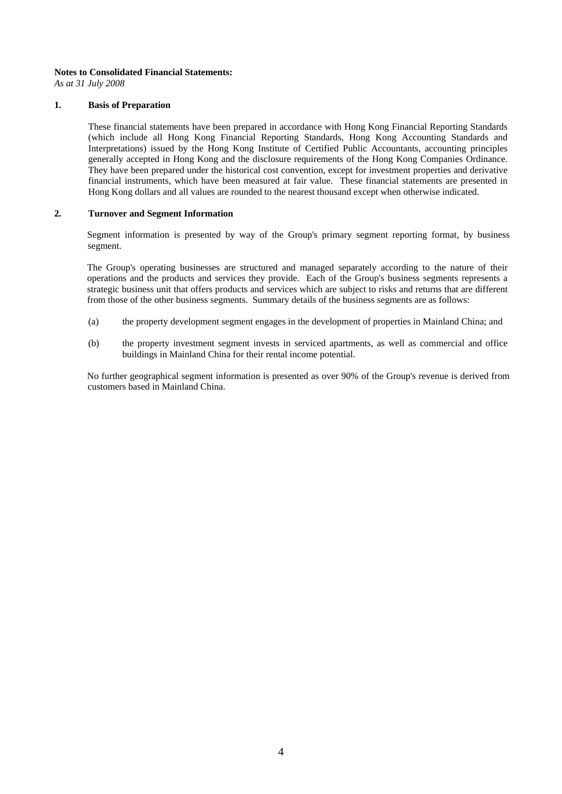#### **Notes to Consolidated Financial Statements:**

*As at 31 July 2008* 

#### **1. Basis of Preparation**

These financial statements have been prepared in accordance with Hong Kong Financial Reporting Standards (which include all Hong Kong Financial Reporting Standards, Hong Kong Accounting Standards and Interpretations) issued by the Hong Kong Institute of Certified Public Accountants, accounting principles generally accepted in Hong Kong and the disclosure requirements of the Hong Kong Companies Ordinance. They have been prepared under the historical cost convention, except for investment properties and derivative financial instruments, which have been measured at fair value. These financial statements are presented in Hong Kong dollars and all values are rounded to the nearest thousand except when otherwise indicated.

#### **2. Turnover and Segment Information**

Segment information is presented by way of the Group's primary segment reporting format, by business segment.

The Group's operating businesses are structured and managed separately according to the nature of their operations and the products and services they provide. Each of the Group's business segments represents a strategic business unit that offers products and services which are subject to risks and returns that are different from those of the other business segments. Summary details of the business segments are as follows:

- (a) the property development segment engages in the development of properties in Mainland China; and
- (b) the property investment segment invests in serviced apartments, as well as commercial and office buildings in Mainland China for their rental income potential.

No further geographical segment information is presented as over 90% of the Group's revenue is derived from customers based in Mainland China.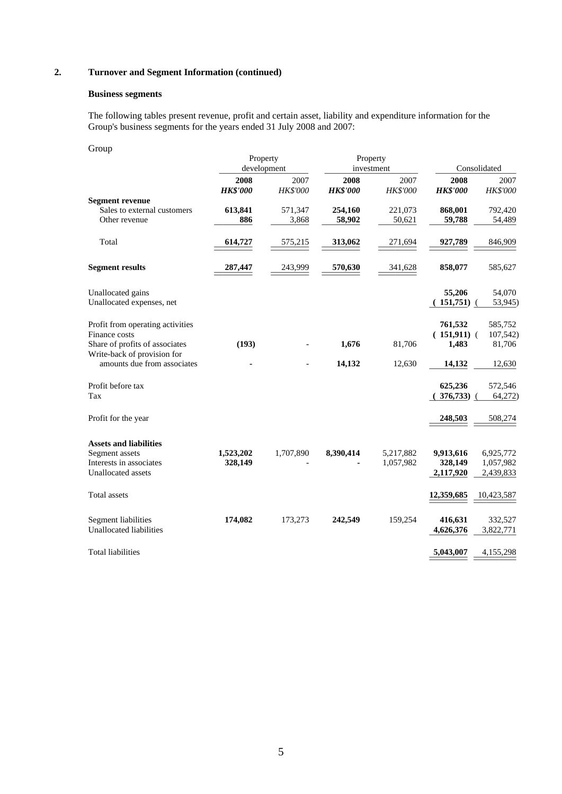### **2. Turnover and Segment Information (continued)**

#### **Business segments**

 The following tables present revenue, profit and certain asset, liability and expenditure information for the Group's business segments for the years ended 31 July 2008 and 2007:

| Group                                                                  | Property                |                  | Property                |                         |                          |                        |
|------------------------------------------------------------------------|-------------------------|------------------|-------------------------|-------------------------|--------------------------|------------------------|
|                                                                        |                         | development      |                         | investment              |                          | Consolidated           |
|                                                                        | 2008<br><b>HK\$'000</b> | 2007<br>HK\$'000 | 2008<br><b>HK\$'000</b> | 2007<br><b>HK\$'000</b> | 2008<br><b>HK\$'000</b>  | 2007<br>HK\$'000       |
| <b>Segment revenue</b><br>Sales to external customers<br>Other revenue | 613,841<br>886          | 571,347<br>3,868 | 254,160<br>58,902       | 221,073<br>50,621       | 868,001<br>59,788        | 792,420<br>54,489      |
|                                                                        |                         |                  |                         |                         |                          |                        |
| Total                                                                  | 614,727                 | 575,215          | 313,062                 | 271,694                 | 927,789                  | 846,909                |
| <b>Segment results</b>                                                 | 287,447                 | 243,999          | 570,630                 | 341,628                 | 858,077                  | 585,627                |
| Unallocated gains<br>Unallocated expenses, net                         |                         |                  |                         |                         | 55,206<br>(151,751)      | 54,070<br>53,945)      |
|                                                                        |                         |                  |                         |                         |                          |                        |
| Profit from operating activities<br>Finance costs                      |                         |                  |                         |                         | 761,532<br>$(151,911)$ ( | 585,752<br>107,542)    |
| Share of profits of associates<br>Write-back of provision for          | (193)                   |                  | 1,676                   | 81,706                  | 1,483                    | 81,706                 |
| amounts due from associates                                            |                         |                  | 14,132                  | 12,630                  | 14,132                   | 12,630                 |
| Profit before tax                                                      |                         |                  |                         |                         | 625,236                  | 572,546                |
| Tax                                                                    |                         |                  |                         |                         | 376,733)                 | 64,272)                |
| Profit for the year                                                    |                         |                  |                         |                         | 248,503                  | 508,274                |
| <b>Assets and liabilities</b>                                          |                         |                  |                         |                         |                          |                        |
| Segment assets<br>Interests in associates                              | 1,523,202<br>328,149    | 1,707,890        | 8,390,414               | 5,217,882<br>1,057,982  | 9,913,616<br>328,149     | 6,925,772<br>1,057,982 |
| Unallocated assets                                                     |                         |                  |                         |                         | 2,117,920                | 2,439,833              |
| Total assets                                                           |                         |                  |                         |                         | 12,359,685               | 10,423,587             |
| Segment liabilities                                                    | 174,082                 | 173,273          | 242,549                 | 159,254                 | 416,631                  | 332,527                |
| <b>Unallocated liabilities</b>                                         |                         |                  |                         |                         | 4,626,376                | 3,822,771              |
| <b>Total liabilities</b>                                               |                         |                  |                         |                         | 5,043,007                | 4,155,298              |
|                                                                        |                         |                  |                         |                         |                          |                        |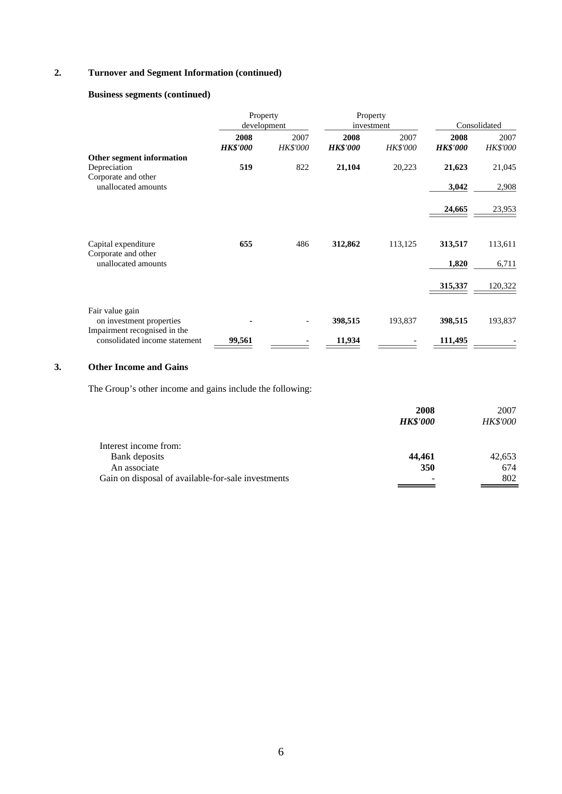### **2. Turnover and Segment Information (continued)**

### **Business segments (continued)**

|                                                               | Property<br>development |                         | Property<br>investment  |                         |                         | Consolidated     |
|---------------------------------------------------------------|-------------------------|-------------------------|-------------------------|-------------------------|-------------------------|------------------|
|                                                               | 2008<br><b>HK\$'000</b> | 2007<br><b>HK\$'000</b> | 2008<br><b>HK\$'000</b> | 2007<br><b>HK\$'000</b> | 2008<br><b>HK\$'000</b> | 2007<br>HK\$'000 |
| Other segment information                                     |                         |                         |                         |                         |                         |                  |
| Depreciation                                                  | 519                     | 822                     | 21,104                  | 20,223                  | 21,623                  | 21,045           |
| Corporate and other<br>unallocated amounts                    |                         |                         |                         |                         | 3,042                   | 2,908            |
|                                                               |                         |                         |                         |                         | 24,665                  | 23,953           |
| Capital expenditure                                           | 655                     | 486                     | 312,862                 | 113,125                 | 313,517                 | 113,611          |
| Corporate and other<br>unallocated amounts                    |                         |                         |                         |                         | 1,820                   | 6,711            |
|                                                               |                         |                         |                         |                         | 315,337                 | 120,322          |
| Fair value gain<br>on investment properties                   |                         |                         | 398,515                 | 193,837                 | 398,515                 | 193,837          |
| Impairment recognised in the<br>consolidated income statement | 99,561                  |                         | 11,934                  |                         | 111,495                 |                  |

# **3. Other Income and Gains**

The Group's other income and gains include the following:

|                                                    | 2008            | 2007     |
|----------------------------------------------------|-----------------|----------|
|                                                    | <b>HK\$'000</b> | HK\$'000 |
| Interest income from:                              |                 |          |
| Bank deposits                                      | 44,461          | 42,653   |
| An associate                                       | 350             | 674      |
| Gain on disposal of available-for-sale investments |                 | 802      |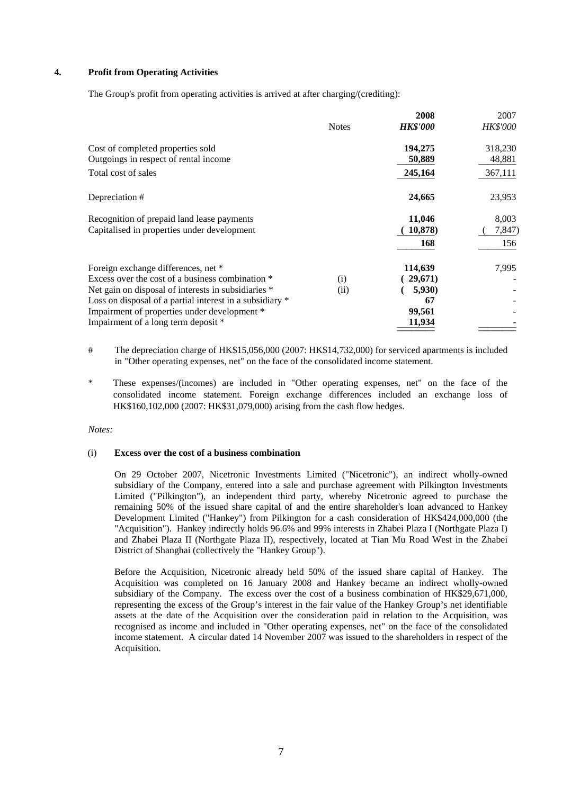#### **4. Profit from Operating Activities**

The Group's profit from operating activities is arrived at after charging/(crediting):

|                                                          |              | 2008            | 2007            |
|----------------------------------------------------------|--------------|-----------------|-----------------|
|                                                          | <b>Notes</b> | <b>HK\$'000</b> | <i>HK\$'000</i> |
| Cost of completed properties sold                        |              | 194,275         | 318,230         |
| Outgoings in respect of rental income                    |              | 50,889          | 48,881          |
| Total cost of sales                                      |              | 245,164         | 367,111         |
| Depreciation #                                           |              | 24,665          | 23,953          |
| Recognition of prepaid land lease payments               |              | 11,046          | 8,003           |
| Capitalised in properties under development              |              | 10,878)         | 7,847)          |
|                                                          |              | 168             | 156             |
| Foreign exchange differences, net *                      |              | 114,639         | 7,995           |
| Excess over the cost of a business combination *         | (i)          | 29,671          |                 |
| Net gain on disposal of interests in subsidiaries *      | (ii)         | 5,930)          |                 |
| Loss on disposal of a partial interest in a subsidiary * |              | 67              |                 |
| Impairment of properties under development *             |              | 99,561          |                 |
| Impairment of a long term deposit *                      |              | 11,934          |                 |

 # The depreciation charge of HK\$15,056,000 (2007: HK\$14,732,000) for serviced apartments is included in "Other operating expenses, net" on the face of the consolidated income statement.

These expenses/(incomes) are included in "Other operating expenses, net" on the face of the consolidated income statement. Foreign exchange differences included an exchange loss of HK\$160,102,000 (2007: HK\$31,079,000) arising from the cash flow hedges.

*Notes:* 

#### (i) **Excess over the cost of a business combination**

 On 29 October 2007, Nicetronic Investments Limited ("Nicetronic"), an indirect wholly-owned subsidiary of the Company, entered into a sale and purchase agreement with Pilkington Investments Limited ("Pilkington"), an independent third party, whereby Nicetronic agreed to purchase the remaining 50% of the issued share capital of and the entire shareholder's loan advanced to Hankey Development Limited ("Hankey") from Pilkington for a cash consideration of HK\$424,000,000 (the "Acquisition"). Hankey indirectly holds 96.6% and 99% interests in Zhabei Plaza I (Northgate Plaza I) and Zhabei Plaza II (Northgate Plaza II), respectively, located at Tian Mu Road West in the Zhabei District of Shanghai (collectively the "Hankey Group").

 Before the Acquisition, Nicetronic already held 50% of the issued share capital of Hankey. The Acquisition was completed on 16 January 2008 and Hankey became an indirect wholly-owned subsidiary of the Company. The excess over the cost of a business combination of HK\$29,671,000, representing the excess of the Group's interest in the fair value of the Hankey Group's net identifiable assets at the date of the Acquisition over the consideration paid in relation to the Acquisition, was recognised as income and included in "Other operating expenses, net" on the face of the consolidated income statement. A circular dated 14 November 2007 was issued to the shareholders in respect of the Acquisition.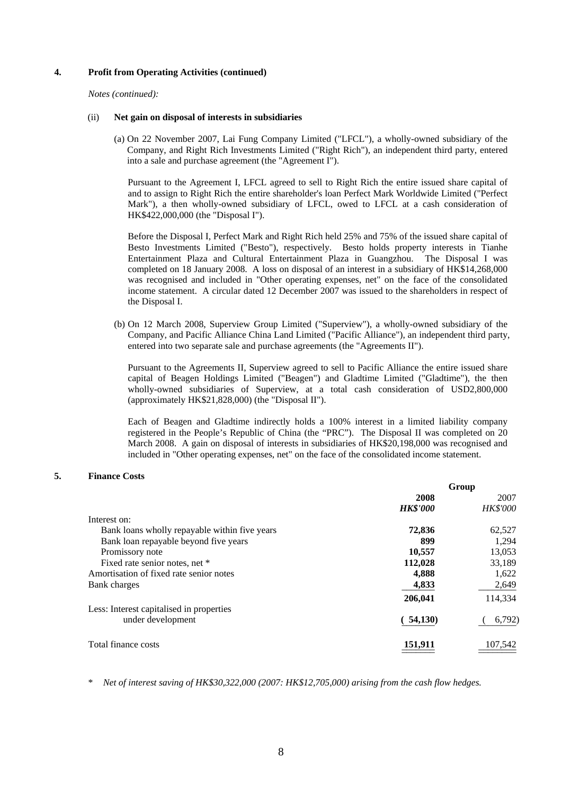#### **4. Profit from Operating Activities (continued)**

*Notes (continued):* 

#### (ii) **Net gain on disposal of interests in subsidiaries**

 (a) On 22 November 2007, Lai Fung Company Limited ("LFCL"), a wholly-owned subsidiary of the Company, and Right Rich Investments Limited ("Right Rich"), an independent third party, entered into a sale and purchase agreement (the "Agreement I").

 Pursuant to the Agreement I, LFCL agreed to sell to Right Rich the entire issued share capital of and to assign to Right Rich the entire shareholder's loan Perfect Mark Worldwide Limited ("Perfect Mark"), a then wholly-owned subsidiary of LFCL, owed to LFCL at a cash consideration of HK\$422,000,000 (the "Disposal I").

 Before the Disposal I, Perfect Mark and Right Rich held 25% and 75% of the issued share capital of Besto Investments Limited ("Besto"), respectively. Besto holds property interests in Tianhe Entertainment Plaza and Cultural Entertainment Plaza in Guangzhou. The Disposal I was completed on 18 January 2008. A loss on disposal of an interest in a subsidiary of HK\$14,268,000 was recognised and included in "Other operating expenses, net" on the face of the consolidated income statement. A circular dated 12 December 2007 was issued to the shareholders in respect of the Disposal I.

 (b) On 12 March 2008, Superview Group Limited ("Superview"), a wholly-owned subsidiary of the Company, and Pacific Alliance China Land Limited ("Pacific Alliance"), an independent third party, entered into two separate sale and purchase agreements (the "Agreements II").

Pursuant to the Agreements II, Superview agreed to sell to Pacific Alliance the entire issued share capital of Beagen Holdings Limited ("Beagen") and Gladtime Limited ("Gladtime"), the then wholly-owned subsidiaries of Superview, at a total cash consideration of USD2,800,000 (approximately HK\$21,828,000) (the "Disposal II").

Each of Beagen and Gladtime indirectly holds a 100% interest in a limited liability company registered in the People's Republic of China (the "PRC"). The Disposal II was completed on 20 March 2008. A gain on disposal of interests in subsidiaries of HK\$20,198,000 was recognised and included in "Other operating expenses, net" on the face of the consolidated income statement.

#### **5. Finance Costs**

| Group           |                 |
|-----------------|-----------------|
| 2008            | 2007            |
| <b>HK\$'000</b> | <b>HK\$'000</b> |
|                 |                 |
| 72,836          | 62,527          |
| 899             | 1,294           |
| 10,557          | 13,053          |
| 112,028         | 33,189          |
| 4,888           | 1,622           |
| 4,833           | 2,649           |
| 206,041         | 114,334         |
|                 |                 |
| (54,130)        | 6,792)          |
|                 | 107,542         |
|                 | 151,911         |

\* *Net of interest saving of HK\$30,322,000 (2007: HK\$12,705,000) arising from the cash flow hedges.*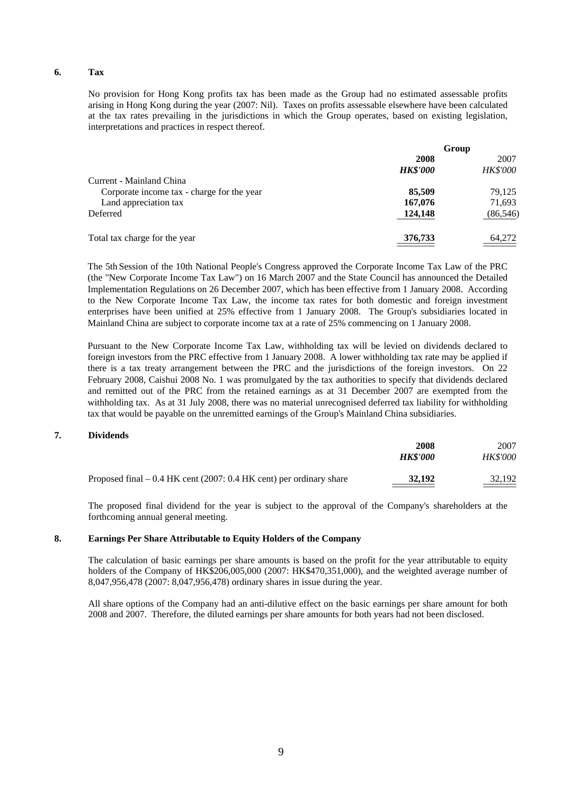#### **6. Tax**

 No provision for Hong Kong profits tax has been made as the Group had no estimated assessable profits arising in Hong Kong during the year (2007: Nil). Taxes on profits assessable elsewhere have been calculated at the tax rates prevailing in the jurisdictions in which the Group operates, based on existing legislation, interpretations and practices in respect thereof.

|                                            | Group           |                 |
|--------------------------------------------|-----------------|-----------------|
|                                            | 2008            | 2007            |
|                                            | <b>HK\$'000</b> | <b>HK\$'000</b> |
| Current - Mainland China                   |                 |                 |
| Corporate income tax - charge for the year | 85,509          | 79,125          |
| Land appreciation tax                      | 167,076         | 71,693          |
| Deferred                                   | 124,148         | (86, 546)       |
| Total tax charge for the year              | 376,733         | 64,272          |

 The 5th Session of the 10th National People's Congress approved the Corporate Income Tax Law of the PRC (the "New Corporate Income Tax Law") on 16 March 2007 and the State Council has announced the Detailed Implementation Regulations on 26 December 2007, which has been effective from 1 January 2008. According to the New Corporate Income Tax Law, the income tax rates for both domestic and foreign investment enterprises have been unified at 25% effective from 1 January 2008. The Group's subsidiaries located in Mainland China are subject to corporate income tax at a rate of 25% commencing on 1 January 2008.

Pursuant to the New Corporate Income Tax Law, withholding tax will be levied on dividends declared to foreign investors from the PRC effective from 1 January 2008. A lower withholding tax rate may be applied if there is a tax treaty arrangement between the PRC and the jurisdictions of the foreign investors. On 22 February 2008, Caishui 2008 No. 1 was promulgated by the tax authorities to specify that dividends declared and remitted out of the PRC from the retained earnings as at 31 December 2007 are exempted from the withholding tax. As at 31 July 2008, there was no material unrecognised deferred tax liability for withholding tax that would be payable on the unremitted earnings of the Group's Mainland China subsidiaries.

#### **7. Dividends**

| 2007<br>2008                       |                                                                      |
|------------------------------------|----------------------------------------------------------------------|
| <b>HK\$'000</b><br><b>HK\$'000</b> |                                                                      |
| 32,192<br>32,192                   | Proposed final $-0.4$ HK cent (2007: 0.4 HK cent) per ordinary share |
|                                    |                                                                      |

The proposed final dividend for the year is subject to the approval of the Company's shareholders at the forthcoming annual general meeting.

#### **8. Earnings Per Share Attributable to Equity Holders of the Company**

The calculation of basic earnings per share amounts is based on the profit for the year attributable to equity holders of the Company of HK\$206,005,000 (2007: HK\$470,351,000), and the weighted average number of 8,047,956,478 (2007: 8,047,956,478) ordinary shares in issue during the year.

All share options of the Company had an anti-dilutive effect on the basic earnings per share amount for both 2008 and 2007. Therefore, the diluted earnings per share amounts for both years had not been disclosed.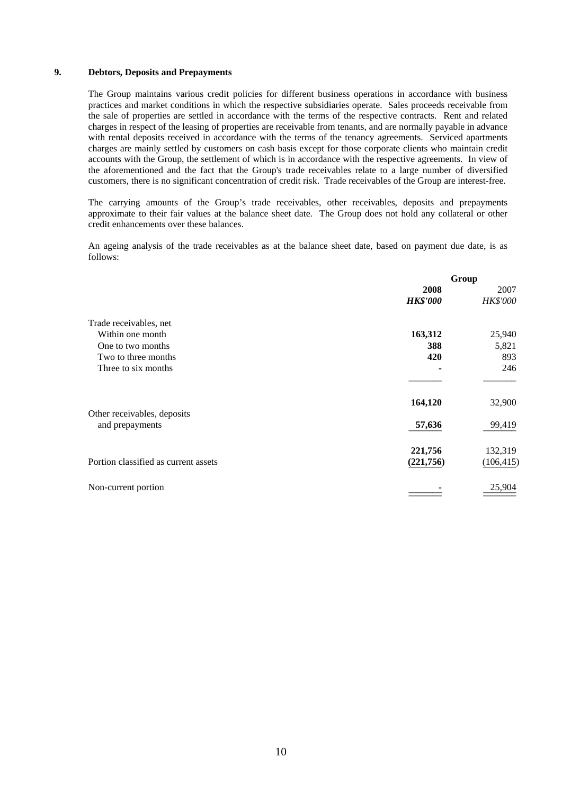#### **9. Debtors, Deposits and Prepayments**

 The Group maintains various credit policies for different business operations in accordance with business practices and market conditions in which the respective subsidiaries operate. Sales proceeds receivable from the sale of properties are settled in accordance with the terms of the respective contracts. Rent and related charges in respect of the leasing of properties are receivable from tenants, and are normally payable in advance with rental deposits received in accordance with the terms of the tenancy agreements. Serviced apartments charges are mainly settled by customers on cash basis except for those corporate clients who maintain credit accounts with the Group, the settlement of which is in accordance with the respective agreements. In view of the aforementioned and the fact that the Group's trade receivables relate to a large number of diversified customers, there is no significant concentration of credit risk. Trade receivables of the Group are interest-free.

 The carrying amounts of the Group's trade receivables, other receivables, deposits and prepayments approximate to their fair values at the balance sheet date. The Group does not hold any collateral or other credit enhancements over these balances.

 An ageing analysis of the trade receivables as at the balance sheet date, based on payment due date, is as follows:

| Group           |                 |
|-----------------|-----------------|
| 2008            | 2007            |
| <b>HK\$'000</b> | <b>HK\$'000</b> |
|                 |                 |
| 163,312         | 25,940          |
| 388             | 5,821           |
| 420             | 893             |
|                 | 246             |
|                 |                 |
| 164,120         | 32,900          |
|                 |                 |
| 57,636          | 99,419          |
|                 | 132,319         |
| (221,756)       | (106, 415)      |
|                 | 25,904          |
|                 | 221,756         |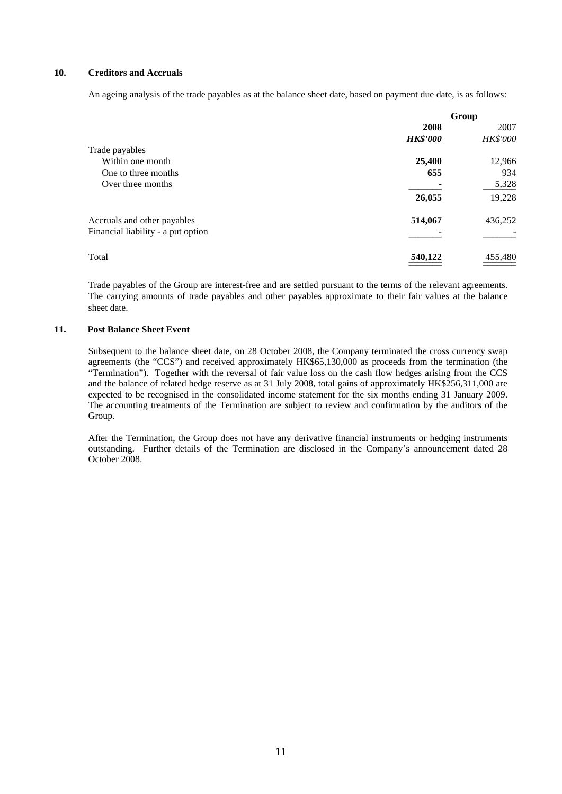#### **10. Creditors and Accruals**

An ageing analysis of the trade payables as at the balance sheet date, based on payment due date, is as follows:

|                                    | Group           |          |
|------------------------------------|-----------------|----------|
|                                    | 2008            | 2007     |
|                                    | <b>HK\$'000</b> | HK\$'000 |
| Trade payables                     |                 |          |
| Within one month                   | 25,400          | 12,966   |
| One to three months                | 655             | 934      |
| Over three months                  |                 | 5,328    |
|                                    | 26,055          | 19,228   |
| Accruals and other payables        | 514,067         | 436,252  |
| Financial liability - a put option |                 |          |
| Total                              | 540,122         | 455,480  |

 Trade payables of the Group are interest-free and are settled pursuant to the terms of the relevant agreements. The carrying amounts of trade payables and other payables approximate to their fair values at the balance sheet date.

#### **11. Post Balance Sheet Event**

Subsequent to the balance sheet date, on 28 October 2008, the Company terminated the cross currency swap agreements (the "CCS") and received approximately HK\$65,130,000 as proceeds from the termination (the "Termination"). Together with the reversal of fair value loss on the cash flow hedges arising from the CCS and the balance of related hedge reserve as at 31 July 2008, total gains of approximately HK\$256,311,000 are expected to be recognised in the consolidated income statement for the six months ending 31 January 2009. The accounting treatments of the Termination are subject to review and confirmation by the auditors of the Group.

 After the Termination, the Group does not have any derivative financial instruments or hedging instruments outstanding. Further details of the Termination are disclosed in the Company's announcement dated 28 October 2008.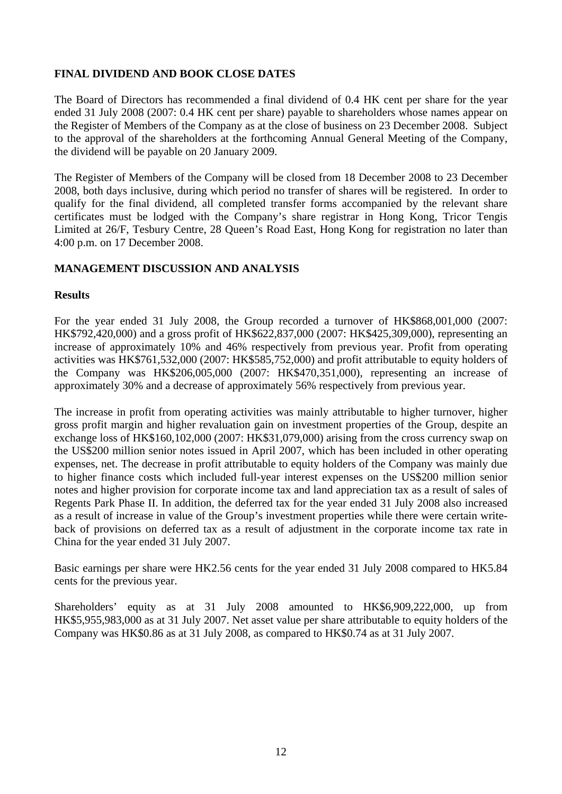# **FINAL DIVIDEND AND BOOK CLOSE DATES**

The Board of Directors has recommended a final dividend of 0.4 HK cent per share for the year ended 31 July 2008 (2007: 0.4 HK cent per share) payable to shareholders whose names appear on the Register of Members of the Company as at the close of business on 23 December 2008. Subject to the approval of the shareholders at the forthcoming Annual General Meeting of the Company, the dividend will be payable on 20 January 2009.

The Register of Members of the Company will be closed from 18 December 2008 to 23 December 2008, both days inclusive, during which period no transfer of shares will be registered. In order to qualify for the final dividend, all completed transfer forms accompanied by the relevant share certificates must be lodged with the Company's share registrar in Hong Kong, Tricor Tengis Limited at 26/F, Tesbury Centre, 28 Queen's Road East, Hong Kong for registration no later than 4:00 p.m. on 17 December 2008.

## **MANAGEMENT DISCUSSION AND ANALYSIS**

## **Results**

For the year ended 31 July 2008, the Group recorded a turnover of HK\$868,001,000 (2007: HK\$792,420,000) and a gross profit of HK\$622,837,000 (2007: HK\$425,309,000), representing an increase of approximately 10% and 46% respectively from previous year. Profit from operating activities was HK\$761,532,000 (2007: HK\$585,752,000) and profit attributable to equity holders of the Company was HK\$206,005,000 (2007: HK\$470,351,000), representing an increase of approximately 30% and a decrease of approximately 56% respectively from previous year.

The increase in profit from operating activities was mainly attributable to higher turnover, higher gross profit margin and higher revaluation gain on investment properties of the Group, despite an exchange loss of HK\$160,102,000 (2007: HK\$31,079,000) arising from the cross currency swap on the US\$200 million senior notes issued in April 2007, which has been included in other operating expenses, net. The decrease in profit attributable to equity holders of the Company was mainly due to higher finance costs which included full-year interest expenses on the US\$200 million senior notes and higher provision for corporate income tax and land appreciation tax as a result of sales of Regents Park Phase II. In addition, the deferred tax for the year ended 31 July 2008 also increased as a result of increase in value of the Group's investment properties while there were certain writeback of provisions on deferred tax as a result of adjustment in the corporate income tax rate in China for the year ended 31 July 2007.

Basic earnings per share were HK2.56 cents for the year ended 31 July 2008 compared to HK5.84 cents for the previous year.

Shareholders' equity as at 31 July 2008 amounted to HK\$6,909,222,000, up from HK\$5,955,983,000 as at 31 July 2007. Net asset value per share attributable to equity holders of the Company was HK\$0.86 as at 31 July 2008, as compared to HK\$0.74 as at 31 July 2007.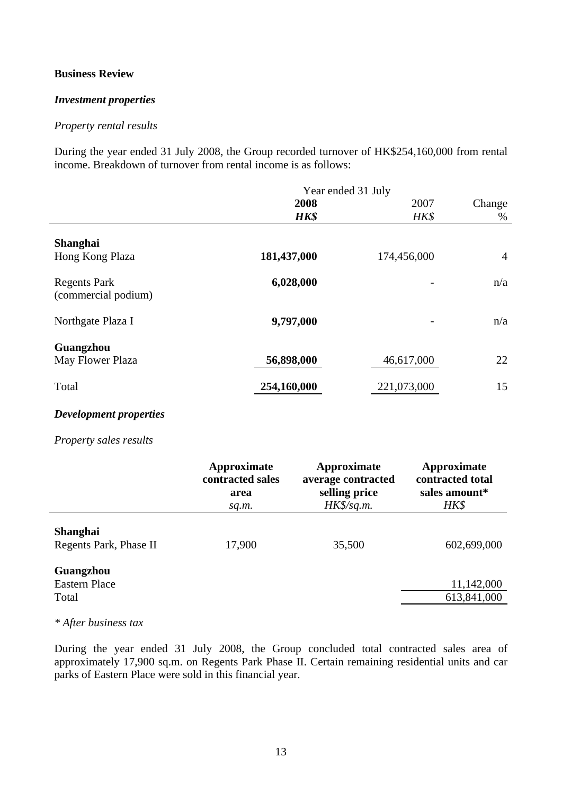## **Business Review**

## *Investment properties*

## *Property rental results*

During the year ended 31 July 2008, the Group recorded turnover of HK\$254,160,000 from rental income. Breakdown of turnover from rental income is as follows:

|                                            | Year ended 31 July |             |                |
|--------------------------------------------|--------------------|-------------|----------------|
|                                            | 2008               | 2007        | Change         |
|                                            | HK\$               | HK\$        | $\%$           |
| <b>Shanghai</b><br>Hong Kong Plaza         | 181,437,000        | 174,456,000 | $\overline{4}$ |
| <b>Regents Park</b><br>(commercial podium) | 6,028,000          |             |                |
| Northgate Plaza I                          | 9,797,000          |             | n/a            |
| Guangzhou<br>May Flower Plaza              | 56,898,000         | 46,617,000  | 22             |
| Total                                      | 254,160,000        | 221,073,000 | 15             |

## *Development properties*

## *Property sales results*

|                                            | Approximate<br>contracted sales<br>area<br>sq.m. | Approximate<br>average contracted<br>selling price<br>$HK\frac{6}{3}$ sq.m. | Approximate<br>contracted total<br>sales amount*<br>HK\$ |
|--------------------------------------------|--------------------------------------------------|-----------------------------------------------------------------------------|----------------------------------------------------------|
| <b>Shanghai</b><br>Regents Park, Phase II  | 17,900                                           | 35,500                                                                      | 602,699,000                                              |
| Guangzhou<br><b>Eastern Place</b><br>Total |                                                  |                                                                             | 11,142,000<br>613,841,000                                |

### *\* After business tax*

During the year ended 31 July 2008, the Group concluded total contracted sales area of approximately 17,900 sq.m. on Regents Park Phase II. Certain remaining residential units and car parks of Eastern Place were sold in this financial year.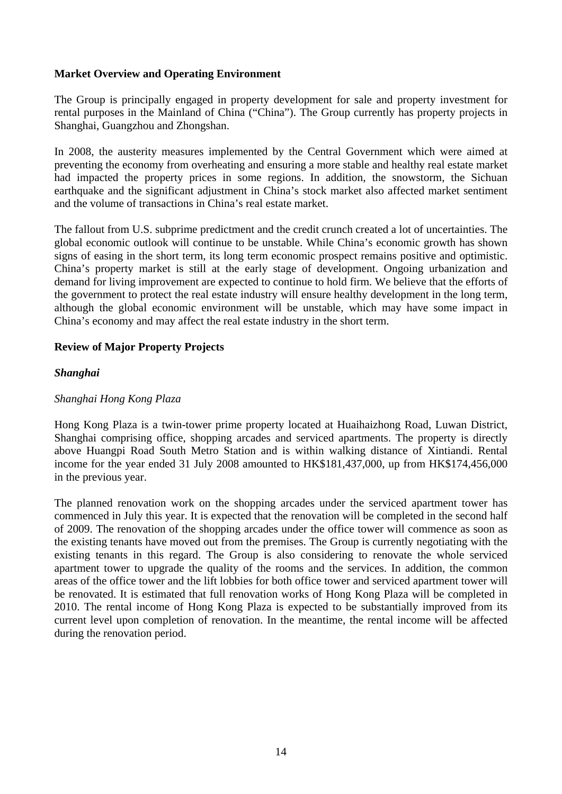# **Market Overview and Operating Environment**

The Group is principally engaged in property development for sale and property investment for rental purposes in the Mainland of China ("China"). The Group currently has property projects in Shanghai, Guangzhou and Zhongshan.

In 2008, the austerity measures implemented by the Central Government which were aimed at preventing the economy from overheating and ensuring a more stable and healthy real estate market had impacted the property prices in some regions. In addition, the snowstorm, the Sichuan earthquake and the significant adjustment in China's stock market also affected market sentiment and the volume of transactions in China's real estate market.

The fallout from U.S. subprime predictment and the credit crunch created a lot of uncertainties. The global economic outlook will continue to be unstable. While China's economic growth has shown signs of easing in the short term, its long term economic prospect remains positive and optimistic. China's property market is still at the early stage of development. Ongoing urbanization and demand for living improvement are expected to continue to hold firm. We believe that the efforts of the government to protect the real estate industry will ensure healthy development in the long term, although the global economic environment will be unstable, which may have some impact in China's economy and may affect the real estate industry in the short term.

## **Review of Major Property Projects**

## *Shanghai*

## *Shanghai Hong Kong Plaza*

Hong Kong Plaza is a twin-tower prime property located at Huaihaizhong Road, Luwan District, Shanghai comprising office, shopping arcades and serviced apartments. The property is directly above Huangpi Road South Metro Station and is within walking distance of Xintiandi. Rental income for the year ended 31 July 2008 amounted to HK\$181,437,000, up from HK\$174,456,000 in the previous year.

The planned renovation work on the shopping arcades under the serviced apartment tower has commenced in July this year. It is expected that the renovation will be completed in the second half of 2009. The renovation of the shopping arcades under the office tower will commence as soon as the existing tenants have moved out from the premises. The Group is currently negotiating with the existing tenants in this regard. The Group is also considering to renovate the whole serviced apartment tower to upgrade the quality of the rooms and the services. In addition, the common areas of the office tower and the lift lobbies for both office tower and serviced apartment tower will be renovated. It is estimated that full renovation works of Hong Kong Plaza will be completed in 2010. The rental income of Hong Kong Plaza is expected to be substantially improved from its current level upon completion of renovation. In the meantime, the rental income will be affected during the renovation period.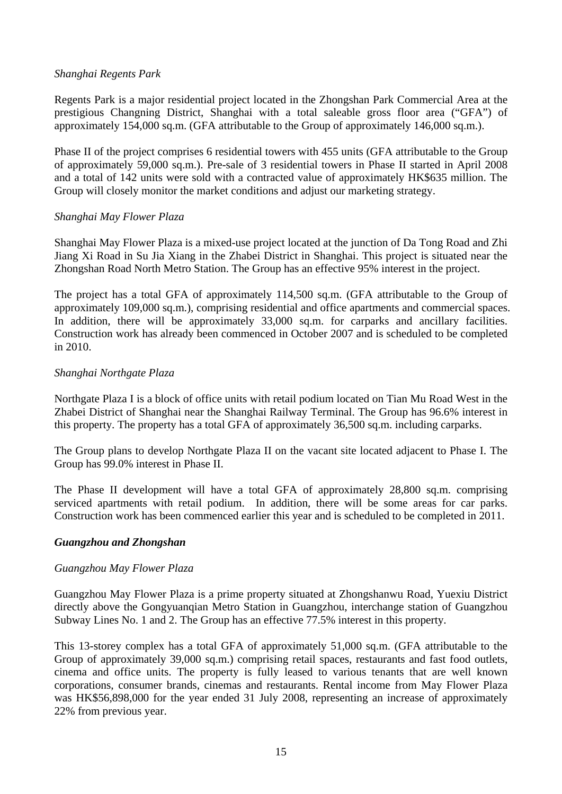## *Shanghai Regents Park*

Regents Park is a major residential project located in the Zhongshan Park Commercial Area at the prestigious Changning District, Shanghai with a total saleable gross floor area ("GFA") of approximately 154,000 sq.m. (GFA attributable to the Group of approximately 146,000 sq.m.).

Phase II of the project comprises 6 residential towers with 455 units (GFA attributable to the Group of approximately 59,000 sq.m.). Pre-sale of 3 residential towers in Phase II started in April 2008 and a total of 142 units were sold with a contracted value of approximately HK\$635 million. The Group will closely monitor the market conditions and adjust our marketing strategy.

## *Shanghai May Flower Plaza*

Shanghai May Flower Plaza is a mixed-use project located at the junction of Da Tong Road and Zhi Jiang Xi Road in Su Jia Xiang in the Zhabei District in Shanghai. This project is situated near the Zhongshan Road North Metro Station. The Group has an effective 95% interest in the project.

The project has a total GFA of approximately 114,500 sq.m. (GFA attributable to the Group of approximately 109,000 sq.m.), comprising residential and office apartments and commercial spaces. In addition, there will be approximately 33,000 sq.m. for carparks and ancillary facilities. Construction work has already been commenced in October 2007 and is scheduled to be completed in 2010.

## *Shanghai Northgate Plaza*

Northgate Plaza I is a block of office units with retail podium located on Tian Mu Road West in the Zhabei District of Shanghai near the Shanghai Railway Terminal. The Group has 96.6% interest in this property. The property has a total GFA of approximately 36,500 sq.m. including carparks.

The Group plans to develop Northgate Plaza II on the vacant site located adjacent to Phase I. The Group has 99.0% interest in Phase II.

The Phase II development will have a total GFA of approximately 28,800 sq.m. comprising serviced apartments with retail podium. In addition, there will be some areas for car parks. Construction work has been commenced earlier this year and is scheduled to be completed in 2011.

# *Guangzhou and Zhongshan*

## *Guangzhou May Flower Plaza*

Guangzhou May Flower Plaza is a prime property situated at Zhongshanwu Road, Yuexiu District directly above the Gongyuanqian Metro Station in Guangzhou, interchange station of Guangzhou Subway Lines No. 1 and 2. The Group has an effective 77.5% interest in this property.

This 13-storey complex has a total GFA of approximately 51,000 sq.m. (GFA attributable to the Group of approximately 39,000 sq.m.) comprising retail spaces, restaurants and fast food outlets, cinema and office units. The property is fully leased to various tenants that are well known corporations, consumer brands, cinemas and restaurants. Rental income from May Flower Plaza was HK\$56,898,000 for the year ended 31 July 2008, representing an increase of approximately 22% from previous year.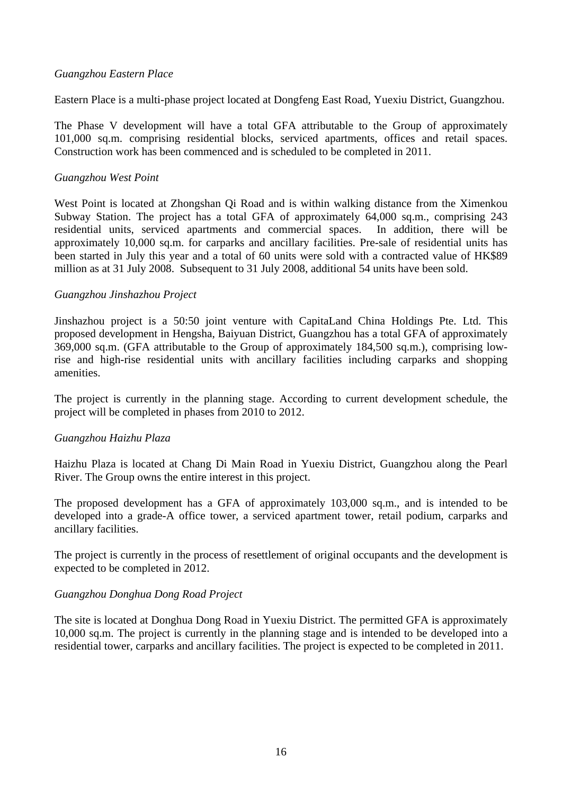## *Guangzhou Eastern Place*

Eastern Place is a multi-phase project located at Dongfeng East Road, Yuexiu District, Guangzhou.

The Phase V development will have a total GFA attributable to the Group of approximately 101,000 sq.m. comprising residential blocks, serviced apartments, offices and retail spaces. Construction work has been commenced and is scheduled to be completed in 2011.

## *Guangzhou West Point*

West Point is located at Zhongshan Qi Road and is within walking distance from the Ximenkou Subway Station. The project has a total GFA of approximately 64,000 sq.m., comprising 243 residential units, serviced apartments and commercial spaces. In addition, there will be approximately 10,000 sq.m. for carparks and ancillary facilities. Pre-sale of residential units has been started in July this year and a total of 60 units were sold with a contracted value of HK\$89 million as at 31 July 2008. Subsequent to 31 July 2008, additional 54 units have been sold.

## *Guangzhou Jinshazhou Project*

Jinshazhou project is a 50:50 joint venture with CapitaLand China Holdings Pte. Ltd. This proposed development in Hengsha, Baiyuan District, Guangzhou has a total GFA of approximately 369,000 sq.m. (GFA attributable to the Group of approximately 184,500 sq.m.), comprising lowrise and high-rise residential units with ancillary facilities including carparks and shopping amenities.

The project is currently in the planning stage. According to current development schedule, the project will be completed in phases from 2010 to 2012.

## *Guangzhou Haizhu Plaza*

Haizhu Plaza is located at Chang Di Main Road in Yuexiu District, Guangzhou along the Pearl River. The Group owns the entire interest in this project.

The proposed development has a GFA of approximately 103,000 sq.m., and is intended to be developed into a grade-A office tower, a serviced apartment tower, retail podium, carparks and ancillary facilities.

The project is currently in the process of resettlement of original occupants and the development is expected to be completed in 2012.

## *Guangzhou Donghua Dong Road Project*

The site is located at Donghua Dong Road in Yuexiu District. The permitted GFA is approximately 10,000 sq.m. The project is currently in the planning stage and is intended to be developed into a residential tower, carparks and ancillary facilities. The project is expected to be completed in 2011.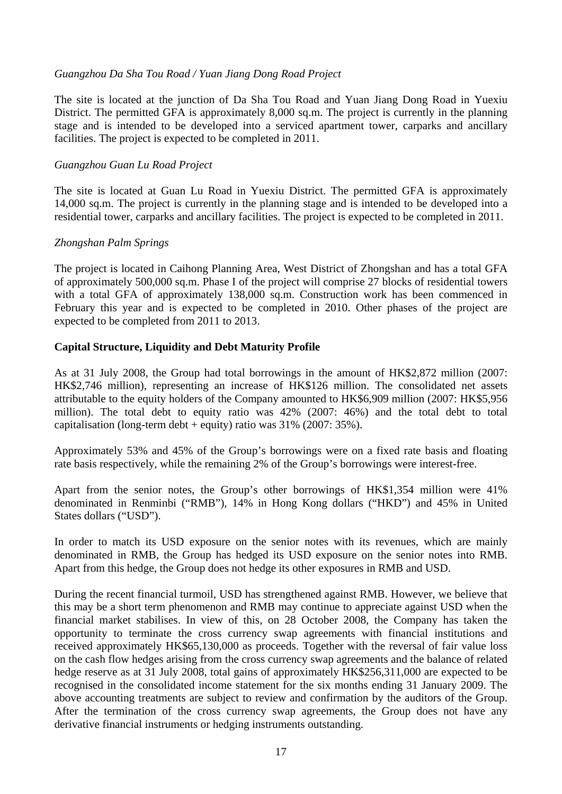## *Guangzhou Da Sha Tou Road / Yuan Jiang Dong Road Project*

The site is located at the junction of Da Sha Tou Road and Yuan Jiang Dong Road in Yuexiu District. The permitted GFA is approximately 8,000 sq.m. The project is currently in the planning stage and is intended to be developed into a serviced apartment tower, carparks and ancillary facilities. The project is expected to be completed in 2011.

## *Guangzhou Guan Lu Road Project*

The site is located at Guan Lu Road in Yuexiu District. The permitted GFA is approximately 14,000 sq.m. The project is currently in the planning stage and is intended to be developed into a residential tower, carparks and ancillary facilities. The project is expected to be completed in 2011.

## *Zhongshan Palm Springs*

The project is located in Caihong Planning Area, West District of Zhongshan and has a total GFA of approximately 500,000 sq.m. Phase I of the project will comprise 27 blocks of residential towers with a total GFA of approximately 138,000 sq.m. Construction work has been commenced in February this year and is expected to be completed in 2010. Other phases of the project are expected to be completed from 2011 to 2013.

## **Capital Structure, Liquidity and Debt Maturity Profile**

As at 31 July 2008, the Group had total borrowings in the amount of HK\$2,872 million (2007: HK\$2,746 million), representing an increase of HK\$126 million. The consolidated net assets attributable to the equity holders of the Company amounted to HK\$6,909 million (2007: HK\$5,956 million). The total debt to equity ratio was 42% (2007: 46%) and the total debt to total capitalisation (long-term debt + equity) ratio was  $31\%$  (2007: 35%).

Approximately 53% and 45% of the Group's borrowings were on a fixed rate basis and floating rate basis respectively, while the remaining 2% of the Group's borrowings were interest-free.

Apart from the senior notes, the Group's other borrowings of HK\$1,354 million were 41% denominated in Renminbi ("RMB"), 14% in Hong Kong dollars ("HKD") and 45% in United States dollars ("USD").

In order to match its USD exposure on the senior notes with its revenues, which are mainly denominated in RMB, the Group has hedged its USD exposure on the senior notes into RMB. Apart from this hedge, the Group does not hedge its other exposures in RMB and USD.

During the recent financial turmoil, USD has strengthened against RMB. However, we believe that this may be a short term phenomenon and RMB may continue to appreciate against USD when the financial market stabilises. In view of this, on 28 October 2008, the Company has taken the opportunity to terminate the cross currency swap agreements with financial institutions and received approximately HK\$65,130,000 as proceeds. Together with the reversal of fair value loss on the cash flow hedges arising from the cross currency swap agreements and the balance of related hedge reserve as at 31 July 2008, total gains of approximately HK\$256,311,000 are expected to be recognised in the consolidated income statement for the six months ending 31 January 2009. The above accounting treatments are subject to review and confirmation by the auditors of the Group. After the termination of the cross currency swap agreements, the Group does not have any derivative financial instruments or hedging instruments outstanding.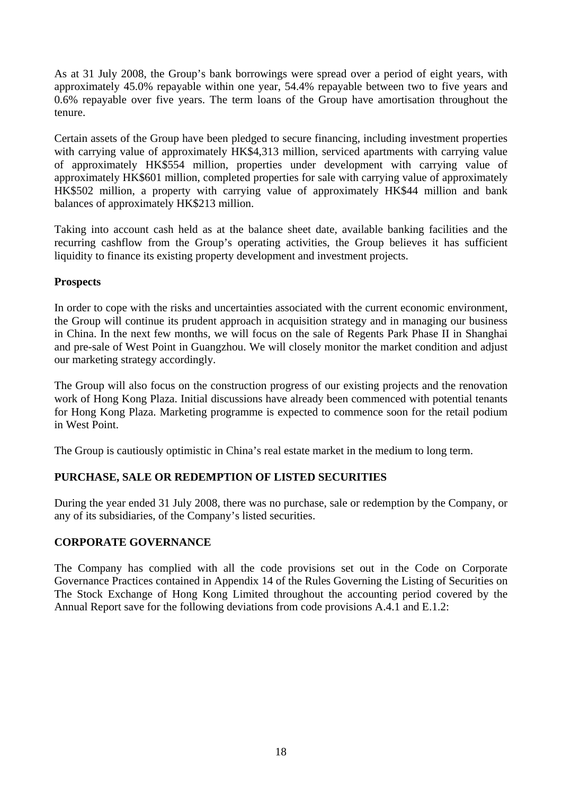As at 31 July 2008, the Group's bank borrowings were spread over a period of eight years, with approximately 45.0% repayable within one year, 54.4% repayable between two to five years and 0.6% repayable over five years. The term loans of the Group have amortisation throughout the tenure.

Certain assets of the Group have been pledged to secure financing, including investment properties with carrying value of approximately HK\$4,313 million, serviced apartments with carrying value of approximately HK\$554 million, properties under development with carrying value of approximately HK\$601 million, completed properties for sale with carrying value of approximately HK\$502 million, a property with carrying value of approximately HK\$44 million and bank balances of approximately HK\$213 million.

Taking into account cash held as at the balance sheet date, available banking facilities and the recurring cashflow from the Group's operating activities, the Group believes it has sufficient liquidity to finance its existing property development and investment projects.

# **Prospects**

In order to cope with the risks and uncertainties associated with the current economic environment, the Group will continue its prudent approach in acquisition strategy and in managing our business in China. In the next few months, we will focus on the sale of Regents Park Phase II in Shanghai and pre-sale of West Point in Guangzhou. We will closely monitor the market condition and adjust our marketing strategy accordingly.

The Group will also focus on the construction progress of our existing projects and the renovation work of Hong Kong Plaza. Initial discussions have already been commenced with potential tenants for Hong Kong Plaza. Marketing programme is expected to commence soon for the retail podium in West Point.

The Group is cautiously optimistic in China's real estate market in the medium to long term.

# **PURCHASE, SALE OR REDEMPTION OF LISTED SECURITIES**

During the year ended 31 July 2008, there was no purchase, sale or redemption by the Company, or any of its subsidiaries, of the Company's listed securities.

# **CORPORATE GOVERNANCE**

The Company has complied with all the code provisions set out in the Code on Corporate Governance Practices contained in Appendix 14 of the Rules Governing the Listing of Securities on The Stock Exchange of Hong Kong Limited throughout the accounting period covered by the Annual Report save for the following deviations from code provisions A.4.1 and E.1.2: